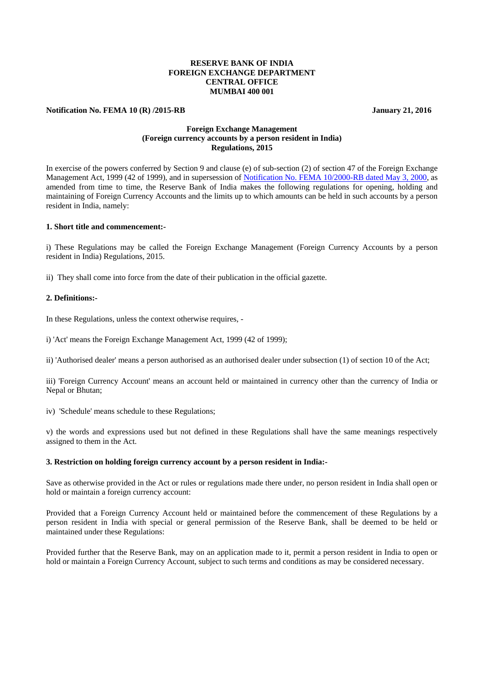# **RESERVE BANK OF INDIA FOREIGN EXCHANGE DEPARTMENT CENTRAL OFFICE MUMBAI 400 001**

#### **Notification No. FEMA 10 (R) /2015-RB** January 21, 2016

# **Foreign Exchange Management (Foreign currency accounts by a person resident in India) Regulations, 2015**

In exercise of the powers conferred by Section 9 and clause (e) of sub-section (2) of section 47 of the Foreign Exchange Management Act, 1999 (42 of 1999), and in supersession of [Notification No. FEMA 10/2000-RB dated May 3, 2000,](https://www.rbi.org.in/Scripts/BS_FemaNotifications.aspx?Id=164) as amended from time to time, the Reserve Bank of India makes the following regulations for opening, holding and maintaining of Foreign Currency Accounts and the limits up to which amounts can be held in such accounts by a person resident in India, namely:

### **1. Short title and commencement:-**

i) These Regulations may be called the Foreign Exchange Management (Foreign Currency Accounts by a person resident in India) Regulations, 2015.

ii) They shall come into force from the date of their publication in the official gazette.

# **2. Definitions:-**

In these Regulations, unless the context otherwise requires, -

i) 'Act' means the Foreign Exchange Management Act, 1999 (42 of 1999);

ii) 'Authorised dealer' means a person authorised as an authorised dealer under subsection (1) of section 10 of the Act;

iii) 'Foreign Currency Account' means an account held or maintained in currency other than the currency of India or Nepal or Bhutan;

iv) 'Schedule' means schedule to these Regulations;

v) the words and expressions used but not defined in these Regulations shall have the same meanings respectively assigned to them in the Act.

#### **3. Restriction on holding foreign currency account by a person resident in India:-**

Save as otherwise provided in the Act or rules or regulations made there under, no person resident in India shall open or hold or maintain a foreign currency account:

Provided that a Foreign Currency Account held or maintained before the commencement of these Regulations by a person resident in India with special or general permission of the Reserve Bank, shall be deemed to be held or maintained under these Regulations:

Provided further that the Reserve Bank, may on an application made to it, permit a person resident in India to open or hold or maintain a Foreign Currency Account, subject to such terms and conditions as may be considered necessary.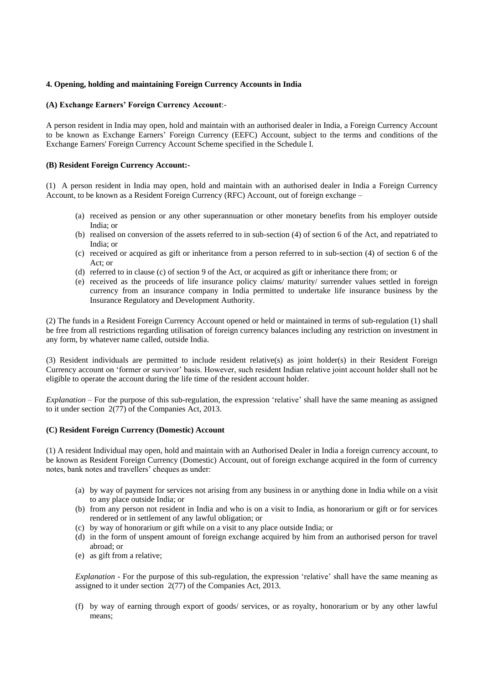# **4. Opening, holding and maintaining Foreign Currency Accounts in India**

### **(A) Exchange Earners' Foreign Currency Account**:-

A person resident in India may open, hold and maintain with an authorised dealer in India, a Foreign Currency Account to be known as Exchange Earners' Foreign Currency (EEFC) Account, subject to the terms and conditions of the Exchange Earners' Foreign Currency Account Scheme specified in the Schedule I.

### **(B) Resident Foreign Currency Account:-**

(1) A person resident in India may open, hold and maintain with an authorised dealer in India a Foreign Currency Account, to be known as a Resident Foreign Currency (RFC) Account, out of foreign exchange –

- (a) received as pension or any other superannuation or other monetary benefits from his employer outside India; or
- (b) realised on conversion of the assets referred to in sub-section (4) of section 6 of the Act, and repatriated to India; or
- (c) received or acquired as gift or inheritance from a person referred to in sub-section (4) of section 6 of the Act; or
- (d) referred to in clause (c) of section 9 of the Act, or acquired as gift or inheritance there from; or
- (e) received as the proceeds of life insurance policy claims/ maturity/ surrender values settled in foreign currency from an insurance company in India permitted to undertake life insurance business by the Insurance Regulatory and Development Authority.

(2) The funds in a Resident Foreign Currency Account opened or held or maintained in terms of sub-regulation (1) shall be free from all restrictions regarding utilisation of foreign currency balances including any restriction on investment in any form, by whatever name called, outside India.

(3) Resident individuals are permitted to include resident relative(s) as joint holder(s) in their Resident Foreign Currency account on 'former or survivor' basis. However, such resident Indian relative joint account holder shall not be eligible to operate the account during the life time of the resident account holder.

*Explanation* – For the purpose of this sub-regulation, the expression 'relative' shall have the same meaning as assigned to it under section 2(77) of the Companies Act, 2013.

#### **(C) Resident Foreign Currency (Domestic) Account**

(1) A resident Individual may open, hold and maintain with an Authorised Dealer in India a foreign currency account, to be known as Resident Foreign Currency (Domestic) Account, out of foreign exchange acquired in the form of currency notes, bank notes and travellers' cheques as under:

- (a) by way of payment for services not arising from any business in or anything done in India while on a visit to any place outside India; or
- (b) from any person not resident in India and who is on a visit to India, as honorarium or gift or for services rendered or in settlement of any lawful obligation; or
- (c) by way of honorarium or gift while on a visit to any place outside India; or
- (d) in the form of unspent amount of foreign exchange acquired by him from an authorised person for travel abroad; or
- (e) as gift from a relative;

*Explanation* - For the purpose of this sub-regulation, the expression 'relative' shall have the same meaning as assigned to it under section 2(77) of the Companies Act, 2013.

(f) by way of earning through export of goods/ services, or as royalty, honorarium or by any other lawful means;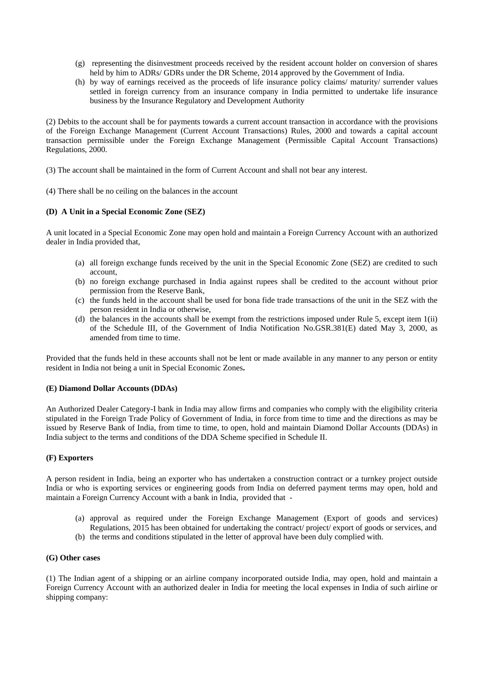- (g) representing the disinvestment proceeds received by the resident account holder on conversion of shares held by him to ADRs/ GDRs under the DR Scheme, 2014 approved by the Government of India.
- (h) by way of earnings received as the proceeds of life insurance policy claims/ maturity/ surrender values settled in foreign currency from an insurance company in India permitted to undertake life insurance business by the Insurance Regulatory and Development Authority

(2) Debits to the account shall be for payments towards a current account transaction in accordance with the provisions of the Foreign Exchange Management (Current Account Transactions) Rules, 2000 and towards a capital account transaction permissible under the Foreign Exchange Management (Permissible Capital Account Transactions) Regulations, 2000.

(3) The account shall be maintained in the form of Current Account and shall not bear any interest.

(4) There shall be no ceiling on the balances in the account

## **(D) A Unit in a Special Economic Zone (SEZ)**

A unit located in a Special Economic Zone may open hold and maintain a Foreign Currency Account with an authorized dealer in India provided that,

- (a) all foreign exchange funds received by the unit in the Special Economic Zone (SEZ) are credited to such account,
- (b) no foreign exchange purchased in India against rupees shall be credited to the account without prior permission from the Reserve Bank,
- (c) the funds held in the account shall be used for bona fide trade transactions of the unit in the SEZ with the person resident in India or otherwise,
- (d) the balances in the accounts shall be exempt from the restrictions imposed under Rule 5, except item 1(ii) of the Schedule III, of the Government of India Notification No.GSR.381(E) dated May 3, 2000, as amended from time to time.

Provided that the funds held in these accounts shall not be lent or made available in any manner to any person or entity resident in India not being a unit in Special Economic Zones**.**

#### **(E) Diamond Dollar Accounts (DDAs)**

An Authorized Dealer Category-I bank in India may allow firms and companies who comply with the eligibility criteria stipulated in the Foreign Trade Policy of Government of India, in force from time to time and the directions as may be issued by Reserve Bank of India, from time to time, to open, hold and maintain Diamond Dollar Accounts (DDAs) in India subject to the terms and conditions of the DDA Scheme specified in Schedule II.

# **(F) Exporters**

A person resident in India, being an exporter who has undertaken a construction contract or a turnkey project outside India or who is exporting services or engineering goods from India on deferred payment terms may open, hold and maintain a Foreign Currency Account with a bank in India, provided that -

- (a) approval as required under the Foreign Exchange Management (Export of goods and services) Regulations, 2015 has been obtained for undertaking the contract/ project/ export of goods or services, and
- (b) the terms and conditions stipulated in the letter of approval have been duly complied with.

## **(G) Other cases**

(1) The Indian agent of a shipping or an airline company incorporated outside India, may open, hold and maintain a Foreign Currency Account with an authorized dealer in India for meeting the local expenses in India of such airline or shipping company: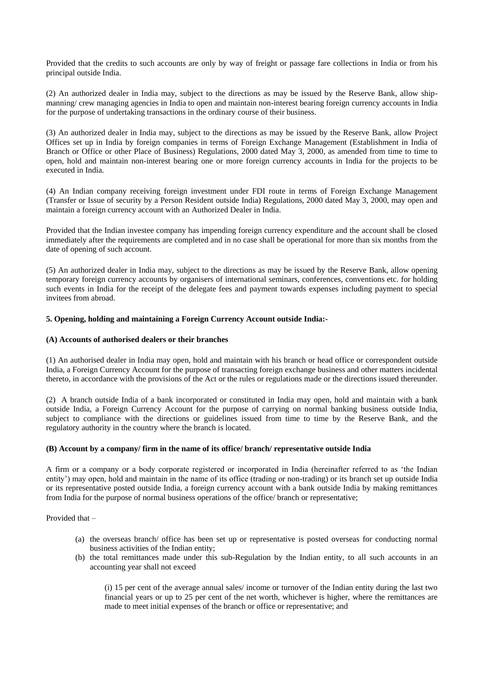Provided that the credits to such accounts are only by way of freight or passage fare collections in India or from his principal outside India.

(2) An authorized dealer in India may, subject to the directions as may be issued by the Reserve Bank, allow shipmanning/ crew managing agencies in India to open and maintain non-interest bearing foreign currency accounts in India for the purpose of undertaking transactions in the ordinary course of their business.

(3) An authorized dealer in India may, subject to the directions as may be issued by the Reserve Bank, allow Project Offices set up in India by foreign companies in terms of Foreign Exchange Management (Establishment in India of Branch or Office or other Place of Business) Regulations, 2000 dated May 3, 2000, as amended from time to time to open, hold and maintain non-interest bearing one or more foreign currency accounts in India for the projects to be executed in India.

(4) An Indian company receiving foreign investment under FDI route in terms of Foreign Exchange Management (Transfer or Issue of security by a Person Resident outside India) Regulations, 2000 dated May 3, 2000, may open and maintain a foreign currency account with an Authorized Dealer in India.

Provided that the Indian investee company has impending foreign currency expenditure and the account shall be closed immediately after the requirements are completed and in no case shall be operational for more than six months from the date of opening of such account.

(5) An authorized dealer in India may, subject to the directions as may be issued by the Reserve Bank, allow opening temporary foreign currency accounts by organisers of international seminars, conferences, conventions etc. for holding such events in India for the receipt of the delegate fees and payment towards expenses including payment to special invitees from abroad.

## **5. Opening, holding and maintaining a Foreign Currency Account outside India:-**

## **(A) Accounts of authorised dealers or their branches**

(1) An authorised dealer in India may open, hold and maintain with his branch or head office or correspondent outside India, a Foreign Currency Account for the purpose of transacting foreign exchange business and other matters incidental thereto, in accordance with the provisions of the Act or the rules or regulations made or the directions issued thereunder.

(2) A branch outside India of a bank incorporated or constituted in India may open, hold and maintain with a bank outside India, a Foreign Currency Account for the purpose of carrying on normal banking business outside India, subject to compliance with the directions or guidelines issued from time to time by the Reserve Bank, and the regulatory authority in the country where the branch is located.

#### **(B) Account by a company/ firm in the name of its office/ branch/ representative outside India**

A firm or a company or a body corporate registered or incorporated in India (hereinafter referred to as 'the Indian entity') may open, hold and maintain in the name of its office (trading or non-trading) or its branch set up outside India or its representative posted outside India, a foreign currency account with a bank outside India by making remittances from India for the purpose of normal business operations of the office/ branch or representative;

Provided that –

- (a) the overseas branch/ office has been set up or representative is posted overseas for conducting normal business activities of the Indian entity;
- (b) the total remittances made under this sub-Regulation by the Indian entity, to all such accounts in an accounting year shall not exceed

(i) 15 per cent of the average annual sales/ income or turnover of the Indian entity during the last two financial years or up to 25 per cent of the net worth, whichever is higher, where the remittances are made to meet initial expenses of the branch or office or representative; and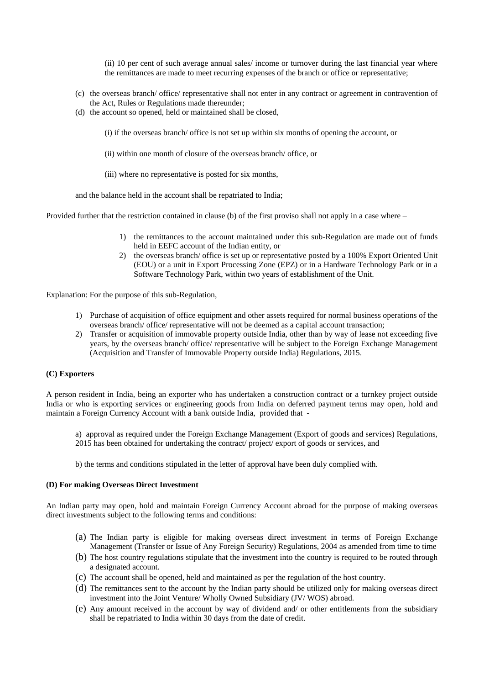(ii) 10 per cent of such average annual sales/ income or turnover during the last financial year where the remittances are made to meet recurring expenses of the branch or office or representative;

- (c) the overseas branch/ office/ representative shall not enter in any contract or agreement in contravention of the Act, Rules or Regulations made thereunder;
- (d) the account so opened, held or maintained shall be closed,

(i) if the overseas branch/ office is not set up within six months of opening the account, or

- (ii) within one month of closure of the overseas branch/ office, or
- (iii) where no representative is posted for six months,

and the balance held in the account shall be repatriated to India;

Provided further that the restriction contained in clause (b) of the first proviso shall not apply in a case where –

- 1) the remittances to the account maintained under this sub-Regulation are made out of funds held in EEFC account of the Indian entity, or
- 2) the overseas branch/ office is set up or representative posted by a 100% Export Oriented Unit (EOU) or a unit in Export Processing Zone (EPZ) or in a Hardware Technology Park or in a Software Technology Park, within two years of establishment of the Unit.

Explanation: For the purpose of this sub-Regulation,

- 1) Purchase of acquisition of office equipment and other assets required for normal business operations of the overseas branch/ office/ representative will not be deemed as a capital account transaction;
- 2) Transfer or acquisition of immovable property outside India, other than by way of lease not exceeding five years, by the overseas branch/ office/ representative will be subject to the Foreign Exchange Management (Acquisition and Transfer of Immovable Property outside India) Regulations, 2015.

#### **(C) Exporters**

A person resident in India, being an exporter who has undertaken a construction contract or a turnkey project outside India or who is exporting services or engineering goods from India on deferred payment terms may open, hold and maintain a Foreign Currency Account with a bank outside India, provided that -

a) approval as required under the Foreign Exchange Management (Export of goods and services) Regulations, 2015 has been obtained for undertaking the contract/ project/ export of goods or services, and

b) the terms and conditions stipulated in the letter of approval have been duly complied with.

## **(D) For making Overseas Direct Investment**

An Indian party may open, hold and maintain Foreign Currency Account abroad for the purpose of making overseas direct investments subject to the following terms and conditions:

- (a) The Indian party is eligible for making overseas direct investment in terms of Foreign Exchange Management (Transfer or Issue of Any Foreign Security) Regulations, 2004 as amended from time to time
- (b) The host country regulations stipulate that the investment into the country is required to be routed through a designated account.
- (c) The account shall be opened, held and maintained as per the regulation of the host country.
- (d) The remittances sent to the account by the Indian party should be utilized only for making overseas direct investment into the Joint Venture/ Wholly Owned Subsidiary (JV/ WOS) abroad.
- (e) Any amount received in the account by way of dividend and/ or other entitlements from the subsidiary shall be repatriated to India within 30 days from the date of credit.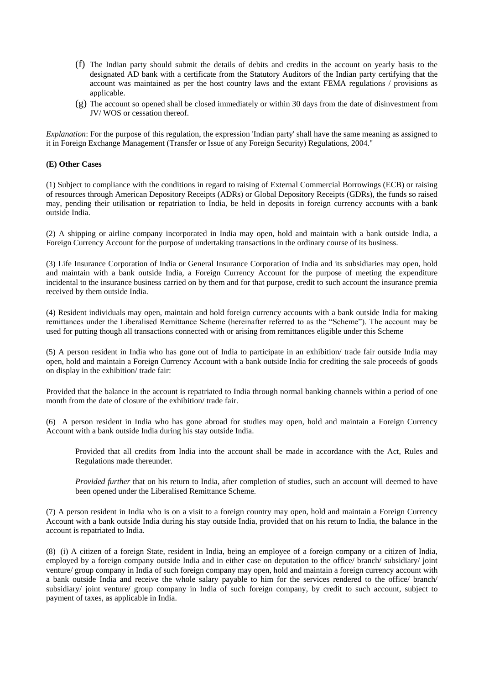- (f) The Indian party should submit the details of debits and credits in the account on yearly basis to the designated AD bank with a certificate from the Statutory Auditors of the Indian party certifying that the account was maintained as per the host country laws and the extant FEMA regulations / provisions as applicable.
- (g) The account so opened shall be closed immediately or within 30 days from the date of disinvestment from JV/ WOS or cessation thereof.

*Explanation*: For the purpose of this regulation, the expression 'Indian party' shall have the same meaning as assigned to it in Foreign Exchange Management (Transfer or Issue of any Foreign Security) Regulations, 2004."

# **(E) Other Cases**

(1) Subject to compliance with the conditions in regard to raising of External Commercial Borrowings (ECB) or raising of resources through American Depository Receipts (ADRs) or Global Depository Receipts (GDRs), the funds so raised may, pending their utilisation or repatriation to India, be held in deposits in foreign currency accounts with a bank outside India.

(2) A shipping or airline company incorporated in India may open, hold and maintain with a bank outside India, a Foreign Currency Account for the purpose of undertaking transactions in the ordinary course of its business.

(3) Life Insurance Corporation of India or General Insurance Corporation of India and its subsidiaries may open, hold and maintain with a bank outside India, a Foreign Currency Account for the purpose of meeting the expenditure incidental to the insurance business carried on by them and for that purpose, credit to such account the insurance premia received by them outside India.

(4) Resident individuals may open, maintain and hold foreign currency accounts with a bank outside India for making remittances under the Liberalised Remittance Scheme (hereinafter referred to as the "Scheme"). The account may be used for putting though all transactions connected with or arising from remittances eligible under this Scheme

(5) A person resident in India who has gone out of India to participate in an exhibition/ trade fair outside India may open, hold and maintain a Foreign Currency Account with a bank outside India for crediting the sale proceeds of goods on display in the exhibition/ trade fair:

Provided that the balance in the account is repatriated to India through normal banking channels within a period of one month from the date of closure of the exhibition/ trade fair.

(6) A person resident in India who has gone abroad for studies may open, hold and maintain a Foreign Currency Account with a bank outside India during his stay outside India.

Provided that all credits from India into the account shall be made in accordance with the Act, Rules and Regulations made thereunder.

*Provided further* that on his return to India, after completion of studies, such an account will deemed to have been opened under the Liberalised Remittance Scheme.

(7) A person resident in India who is on a visit to a foreign country may open, hold and maintain a Foreign Currency Account with a bank outside India during his stay outside India, provided that on his return to India, the balance in the account is repatriated to India.

(8) (i) A citizen of a foreign State, resident in India, being an employee of a foreign company or a citizen of India, employed by a foreign company outside India and in either case on deputation to the office/ branch/ subsidiary/ joint venture/ group company in India of such foreign company may open, hold and maintain a foreign currency account with a bank outside India and receive the whole salary payable to him for the services rendered to the office/ branch/ subsidiary/ joint venture/ group company in India of such foreign company, by credit to such account, subject to payment of taxes, as applicable in India.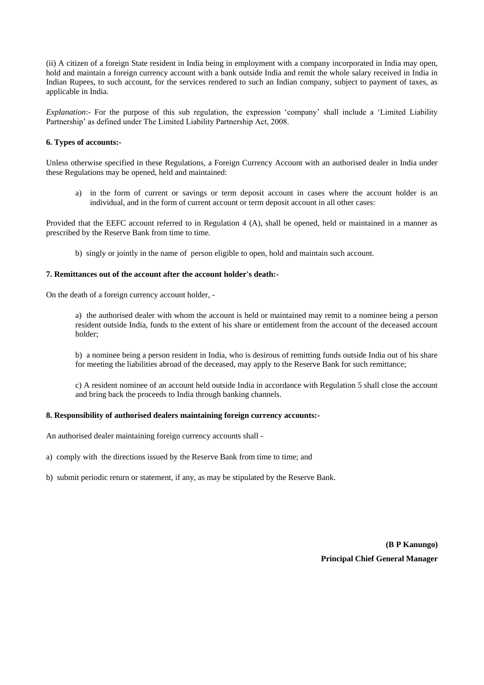(ii) A citizen of a foreign State resident in India being in employment with a company incorporated in India may open, hold and maintain a foreign currency account with a bank outside India and remit the whole salary received in India in Indian Rupees, to such account, for the services rendered to such an Indian company, subject to payment of taxes, as applicable in India.

*Explanation*:- For the purpose of this sub regulation, the expression 'company' shall include a 'Limited Liability Partnership' as defined under The Limited Liability Partnership Act, 2008.

# **6. Types of accounts:-**

Unless otherwise specified in these Regulations, a Foreign Currency Account with an authorised dealer in India under these Regulations may be opened, held and maintained:

a) in the form of current or savings or term deposit account in cases where the account holder is an individual, and in the form of current account or term deposit account in all other cases:

Provided that the EEFC account referred to in Regulation 4 (A), shall be opened, held or maintained in a manner as prescribed by the Reserve Bank from time to time.

b) singly or jointly in the name of person eligible to open, hold and maintain such account.

## **7. Remittances out of the account after the account holder's death:-**

On the death of a foreign currency account holder, -

a) the authorised dealer with whom the account is held or maintained may remit to a nominee being a person resident outside India, funds to the extent of his share or entitlement from the account of the deceased account holder;

b) a nominee being a person resident in India, who is desirous of remitting funds outside India out of his share for meeting the liabilities abroad of the deceased, may apply to the Reserve Bank for such remittance;

c) A resident nominee of an account held outside India in accordance with Regulation 5 shall close the account and bring back the proceeds to India through banking channels.

# **8. Responsibility of authorised dealers maintaining foreign currency accounts:-**

An authorised dealer maintaining foreign currency accounts shall -

a) comply with the directions issued by the Reserve Bank from time to time; and

b) submit periodic return or statement, if any, as may be stipulated by the Reserve Bank.

**(B P Kanungo) Principal Chief General Manager**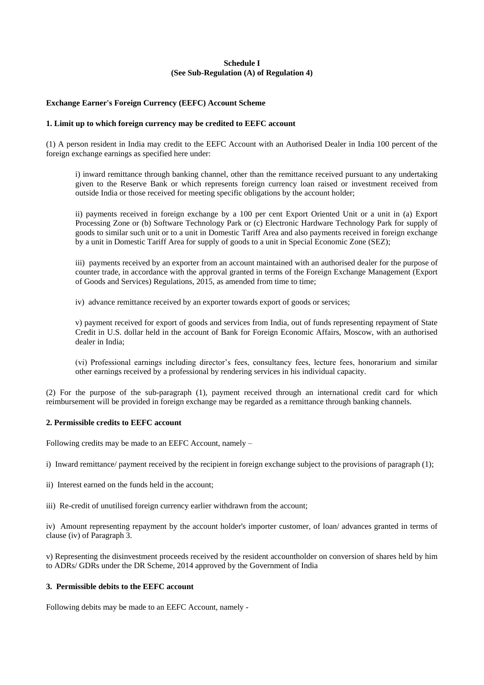# **Schedule I (See Sub-Regulation (A) of Regulation 4)**

# **Exchange Earner's Foreign Currency (EEFC) Account Scheme**

### **1. Limit up to which foreign currency may be credited to EEFC account**

(1) A person resident in India may credit to the EEFC Account with an Authorised Dealer in India 100 percent of the foreign exchange earnings as specified here under:

i) inward remittance through banking channel, other than the remittance received pursuant to any undertaking given to the Reserve Bank or which represents foreign currency loan raised or investment received from outside India or those received for meeting specific obligations by the account holder;

ii) payments received in foreign exchange by a 100 per cent Export Oriented Unit or a unit in (a) Export Processing Zone or (b) Software Technology Park or (c) Electronic Hardware Technology Park for supply of goods to similar such unit or to a unit in Domestic Tariff Area and also payments received in foreign exchange by a unit in Domestic Tariff Area for supply of goods to a unit in Special Economic Zone (SEZ);

iii) payments received by an exporter from an account maintained with an authorised dealer for the purpose of counter trade, in accordance with the approval granted in terms of the Foreign Exchange Management (Export of Goods and Services) Regulations, 2015, as amended from time to time;

iv) advance remittance received by an exporter towards export of goods or services;

v) payment received for export of goods and services from India, out of funds representing repayment of State Credit in U.S. dollar held in the account of Bank for Foreign Economic Affairs, Moscow, with an authorised dealer in India;

(vi) Professional earnings including director's fees, consultancy fees, lecture fees, honorarium and similar other earnings received by a professional by rendering services in his individual capacity.

(2) For the purpose of the sub-paragraph (1), payment received through an international credit card for which reimbursement will be provided in foreign exchange may be regarded as a remittance through banking channels.

## **2. Permissible credits to EEFC account**

Following credits may be made to an EEFC Account, namely –

i) Inward remittance/ payment received by the recipient in foreign exchange subject to the provisions of paragraph (1);

- ii) Interest earned on the funds held in the account;
- iii) Re-credit of unutilised foreign currency earlier withdrawn from the account;

iv) Amount representing repayment by the account holder's importer customer, of loan/ advances granted in terms of clause (iv) of Paragraph 3.

v) Representing the disinvestment proceeds received by the resident accountholder on conversion of shares held by him to ADRs/ GDRs under the DR Scheme, 2014 approved by the Government of India

# **3. Permissible debits to the EEFC account**

Following debits may be made to an EEFC Account, namely -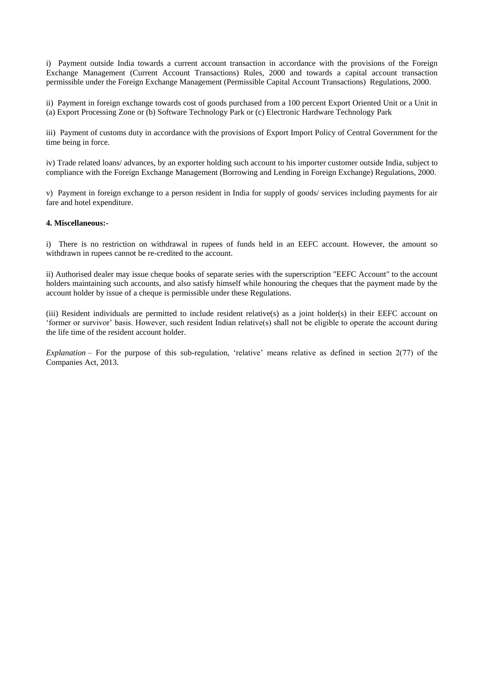i) Payment outside India towards a current account transaction in accordance with the provisions of the Foreign Exchange Management (Current Account Transactions) Rules, 2000 and towards a capital account transaction permissible under the Foreign Exchange Management (Permissible Capital Account Transactions) Regulations, 2000.

ii) Payment in foreign exchange towards cost of goods purchased from a 100 percent Export Oriented Unit or a Unit in (a) Export Processing Zone or (b) Software Technology Park or (c) Electronic Hardware Technology Park

iii) Payment of customs duty in accordance with the provisions of Export Import Policy of Central Government for the time being in force.

iv) Trade related loans/ advances, by an exporter holding such account to his importer customer outside India, subject to compliance with the Foreign Exchange Management (Borrowing and Lending in Foreign Exchange) Regulations, 2000.

v) Payment in foreign exchange to a person resident in India for supply of goods/ services including payments for air fare and hotel expenditure.

## **4. Miscellaneous:-**

i) There is no restriction on withdrawal in rupees of funds held in an EEFC account. However, the amount so withdrawn in rupees cannot be re-credited to the account.

ii) Authorised dealer may issue cheque books of separate series with the superscription "EEFC Account" to the account holders maintaining such accounts, and also satisfy himself while honouring the cheques that the payment made by the account holder by issue of a cheque is permissible under these Regulations.

(iii) Resident individuals are permitted to include resident relative(s) as a joint holder(s) in their EEFC account on 'former or survivor' basis. However, such resident Indian relative(s) shall not be eligible to operate the account during the life time of the resident account holder.

*Explanation* – For the purpose of this sub-regulation, 'relative' means relative as defined in section 2(77) of the Companies Act, 2013.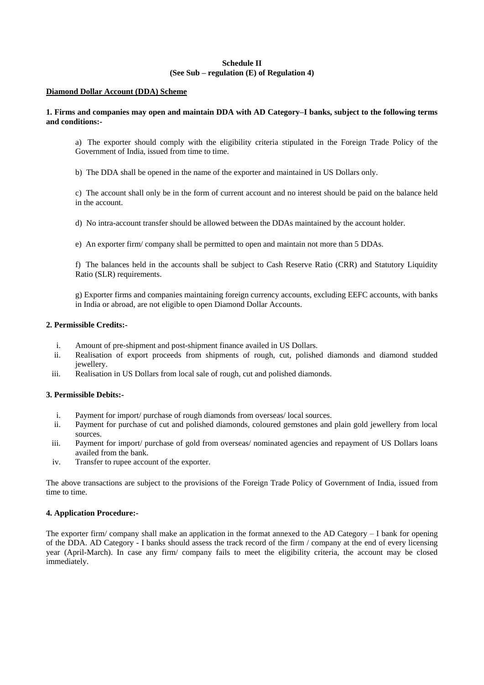# **Schedule II (See Sub – regulation (E) of Regulation 4)**

## **Diamond Dollar Account (DDA) Scheme**

# **1. Firms and companies may open and maintain DDA with AD Category–I banks, subject to the following terms and conditions:-**

a) The exporter should comply with the eligibility criteria stipulated in the Foreign Trade Policy of the Government of India, issued from time to time.

b) The DDA shall be opened in the name of the exporter and maintained in US Dollars only.

c) The account shall only be in the form of current account and no interest should be paid on the balance held in the account.

d) No intra-account transfer should be allowed between the DDAs maintained by the account holder.

e) An exporter firm/ company shall be permitted to open and maintain not more than 5 DDAs.

f) The balances held in the accounts shall be subject to Cash Reserve Ratio (CRR) and Statutory Liquidity Ratio (SLR) requirements.

g) Exporter firms and companies maintaining foreign currency accounts, excluding EEFC accounts, with banks in India or abroad, are not eligible to open Diamond Dollar Accounts.

# **2. Permissible Credits:-**

- i. Amount of pre-shipment and post-shipment finance availed in US Dollars.
- ii. Realisation of export proceeds from shipments of rough, cut, polished diamonds and diamond studded jewellery.
- iii. Realisation in US Dollars from local sale of rough, cut and polished diamonds.

# **3. Permissible Debits:-**

- i. Payment for import/ purchase of rough diamonds from overseas/ local sources.
- ii. Payment for purchase of cut and polished diamonds, coloured gemstones and plain gold jewellery from local sources.
- iii. Payment for import/ purchase of gold from overseas/ nominated agencies and repayment of US Dollars loans availed from the bank.
- iv. Transfer to rupee account of the exporter.

The above transactions are subject to the provisions of the Foreign Trade Policy of Government of India, issued from time to time.

# **4. Application Procedure:-**

The exporter firm/ company shall make an application in the format annexed to the AD Category – I bank for opening of the DDA. AD Category - I banks should assess the track record of the firm / company at the end of every licensing year (April-March). In case any firm/ company fails to meet the eligibility criteria, the account may be closed immediately.